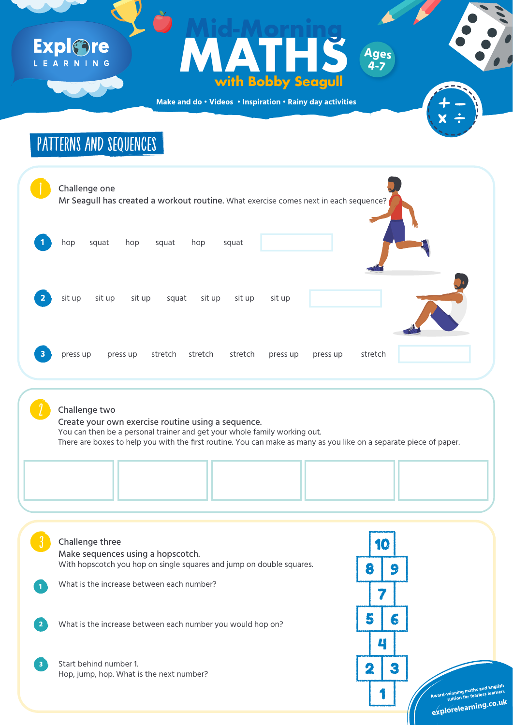**Make and do • Videos • Inspiration • Rainy day activities**

### Expl&ne LEARNING

# FORTUNE TELLERS **MATHS with Bobby Seagull Mid-Morning**

## PATTERNS AND SEQUENCES



**Ages**

**4-7**

### Create your own exercise routine using a sequence.

You can then be a personal trainer and get your whole family working out.



### Challenge two

There are boxes to help you with the first routine. You can make as many as you like on a separate piece of paper.



With hopscotch you hop on single squares and jump on double squares.

What is the increase between each number you would hop on?

Start behind number 1. Hop, jump, hop. What is the next number?



#### What is the increase between each number?